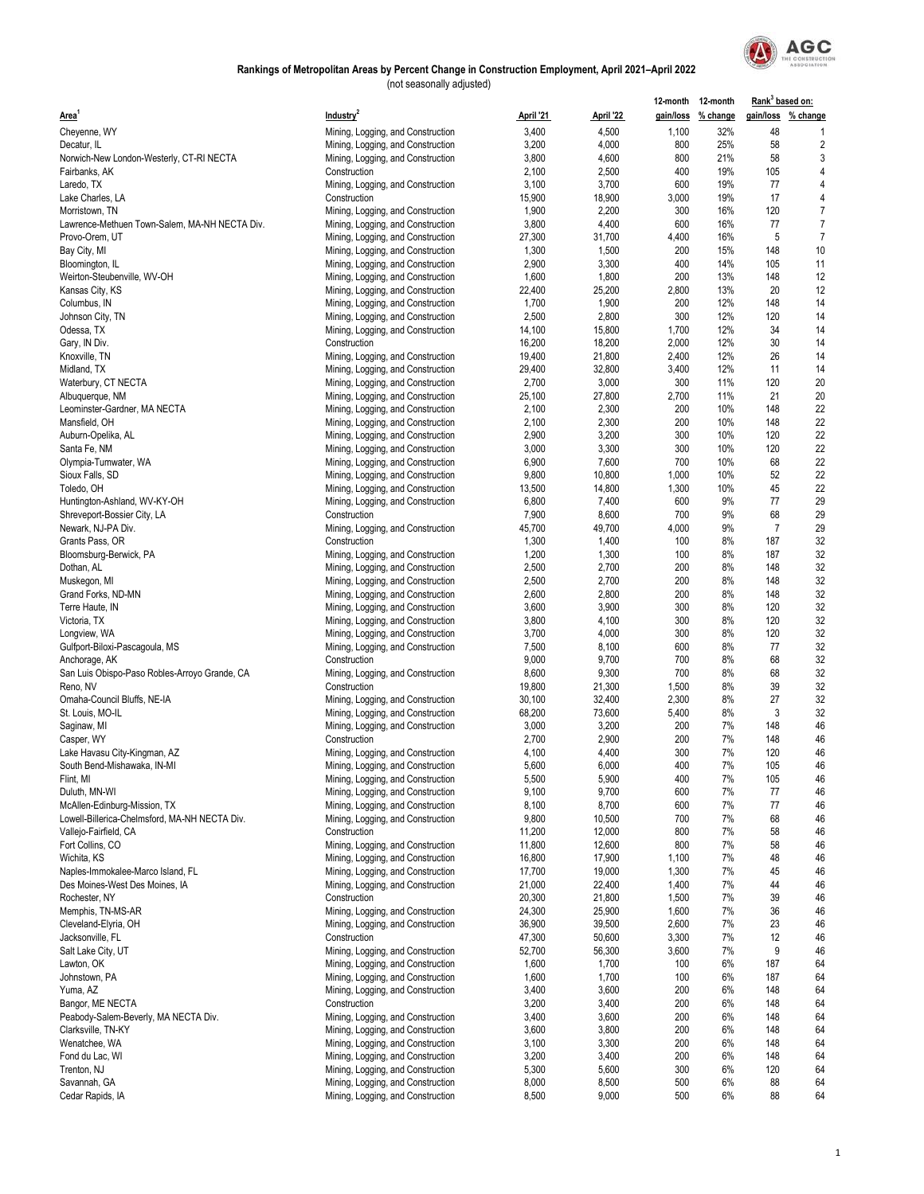

|                                               |                                                                        |           |           | 12-month 12-month |                    | Rank <sup>3</sup> based on: |                    |
|-----------------------------------------------|------------------------------------------------------------------------|-----------|-----------|-------------------|--------------------|-----------------------------|--------------------|
| Area'                                         | Industry <sup>2</sup>                                                  | April '21 | April '22 |                   | gain/loss % change |                             | gain/loss % change |
| Cheyenne, WY                                  | Mining, Logging, and Construction                                      | 3,400     | 4,500     | 1,100             | 32%                | 48                          | -1                 |
| Decatur, IL                                   | Mining, Logging, and Construction                                      | 3,200     | 4,000     | 800               | 25%                | 58                          | $\overline{2}$     |
| Norwich-New London-Westerly, CT-RI NECTA      | Mining, Logging, and Construction                                      | 3,800     | 4,600     | 800               | 21%                | 58                          | 3                  |
| Fairbanks, AK                                 | Construction                                                           | 2,100     | 2,500     | 400               | 19%                | 105                         | 4                  |
| Laredo, TX                                    | Mining, Logging, and Construction                                      | 3,100     | 3,700     | 600               | 19%                | 77                          | $\overline{4}$     |
| Lake Charles, LA                              | Construction                                                           | 15,900    | 18,900    | 3,000             | 19%                | 17                          | 4                  |
| Morristown, TN                                | Mining, Logging, and Construction                                      | 1,900     | 2,200     | 300               | 16%                | 120                         | $\overline{7}$     |
| Lawrence-Methuen Town-Salem, MA-NH NECTA Div. | Mining, Logging, and Construction                                      | 3,800     | 4,400     | 600               | 16%                | 77                          | $\overline{7}$     |
| Provo-Orem, UT                                | Mining, Logging, and Construction                                      | 27,300    | 31,700    | 4,400             | 16%                | 5                           | $\overline{7}$     |
| Bay City, MI                                  | Mining, Logging, and Construction                                      | 1,300     | 1,500     | 200               | 15%                | 148                         | 10                 |
| Bloomington, IL                               | Mining, Logging, and Construction                                      | 2,900     | 3,300     | 400               | 14%                | 105                         | 11                 |
| Weirton-Steubenville, WV-OH                   | Mining, Logging, and Construction                                      | 1,600     | 1,800     | 200               | 13%                | 148                         | 12                 |
| Kansas City, KS                               | Mining, Logging, and Construction                                      | 22,400    | 25,200    | 2,800             | 13%                | 20                          | 12                 |
| Columbus, IN                                  | Mining, Logging, and Construction                                      | 1,700     | 1,900     | 200               | 12%                | 148                         | 14                 |
| Johnson City, TN                              | Mining, Logging, and Construction                                      | 2,500     | 2,800     | 300               | 12%                | 120                         | 14                 |
| Odessa, TX                                    | Mining, Logging, and Construction                                      | 14,100    | 15,800    | 1,700             | 12%                | 34                          | 14                 |
| Gary, IN Div.                                 | Construction                                                           | 16,200    | 18,200    | 2,000             | 12%                | 30                          | 14                 |
| Knoxville, TN                                 | Mining, Logging, and Construction                                      | 19,400    | 21,800    | 2,400             | 12%                | 26                          | 14                 |
| Midland, TX                                   | Mining, Logging, and Construction                                      | 29,400    | 32,800    | 3,400             | 12%                | 11                          | 14                 |
| Waterbury, CT NECTA                           | Mining, Logging, and Construction                                      | 2,700     | 3,000     | 300               | 11%                | 120                         | 20                 |
| Albuquerque, NM                               | Mining, Logging, and Construction                                      | 25,100    | 27,800    | 2,700             | 11%                | 21                          | 20                 |
| Leominster-Gardner, MA NECTA                  | Mining, Logging, and Construction                                      | 2,100     | 2,300     | 200               | 10%                | 148                         | 22                 |
| Mansfield, OH                                 |                                                                        | 2,100     | 2,300     | 200               | 10%                | 148                         | 22                 |
|                                               | Mining, Logging, and Construction                                      | 2,900     | 3,200     | 300               | 10%                | 120                         | 22                 |
| Auburn-Opelika, AL<br>Santa Fe, NM            | Mining, Logging, and Construction<br>Mining, Logging, and Construction | 3,000     | 3,300     | 300               | 10%                | 120                         | 22                 |
|                                               |                                                                        |           |           |                   |                    | 68                          |                    |
| Olympia-Tumwater, WA                          | Mining, Logging, and Construction                                      | 6,900     | 7,600     | 700               | 10%                |                             | 22                 |
| Sioux Falls, SD                               | Mining, Logging, and Construction                                      | 9,800     | 10,800    | 1,000             | 10%                | 52                          | 22                 |
| Toledo, OH                                    | Mining, Logging, and Construction                                      | 13,500    | 14,800    | 1,300             | 10%                | 45                          | 22                 |
| Huntington-Ashland, WV-KY-OH                  | Mining, Logging, and Construction                                      | 6,800     | 7,400     | 600               | 9%                 | 77                          | 29                 |
| Shreveport-Bossier City, LA                   | Construction                                                           | 7,900     | 8,600     | 700               | 9%                 | 68                          | 29                 |
| Newark, NJ-PA Div.                            | Mining, Logging, and Construction                                      | 45,700    | 49,700    | 4,000             | 9%                 | $\overline{7}$              | 29                 |
| Grants Pass, OR                               | Construction                                                           | 1,300     | 1,400     | 100               | 8%                 | 187                         | 32                 |
| Bloomsburg-Berwick, PA                        | Mining, Logging, and Construction                                      | 1,200     | 1,300     | 100               | 8%                 | 187                         | 32                 |
| Dothan, AL                                    | Mining, Logging, and Construction                                      | 2,500     | 2,700     | 200               | 8%                 | 148                         | 32                 |
| Muskegon, MI                                  | Mining, Logging, and Construction                                      | 2,500     | 2,700     | 200               | 8%                 | 148                         | 32                 |
| Grand Forks, ND-MN                            | Mining, Logging, and Construction                                      | 2,600     | 2,800     | 200               | 8%                 | 148                         | 32                 |
| Terre Haute, IN                               | Mining, Logging, and Construction                                      | 3,600     | 3,900     | 300               | 8%                 | 120                         | 32                 |
| Victoria, TX                                  | Mining, Logging, and Construction                                      | 3,800     | 4,100     | 300               | 8%                 | 120                         | 32                 |
| Longview, WA                                  | Mining, Logging, and Construction                                      | 3,700     | 4,000     | 300               | 8%                 | 120                         | 32                 |
| Gulfport-Biloxi-Pascagoula, MS                | Mining, Logging, and Construction                                      | 7,500     | 8,100     | 600               | 8%                 | 77                          | 32                 |
| Anchorage, AK                                 | Construction                                                           | 9,000     | 9,700     | 700               | 8%                 | 68                          | 32                 |
| San Luis Obispo-Paso Robles-Arroyo Grande, CA | Mining, Logging, and Construction                                      | 8,600     | 9,300     | 700               | 8%                 | 68                          | 32                 |
| Reno, NV                                      | Construction                                                           | 19,800    | 21,300    | 1,500             | 8%                 | 39                          | 32                 |
| Omaha-Council Bluffs, NE-IA                   | Mining, Logging, and Construction                                      | 30,100    | 32,400    | 2,300             | 8%                 | 27                          | 32                 |
| St. Louis, MO-IL                              | Mining, Logging, and Construction                                      | 68,200    | 73,600    | 5,400             | 8%                 | 3                           | 32                 |
| Saginaw, MI                                   | Mining, Logging, and Construction                                      | 3,000     | 3,200     | 200               | 7%                 | 148                         | 46                 |
| Casper, WY                                    | Construction                                                           | 2,700     | 2,900     | 200               | 7%                 | 148                         | 46                 |
| Lake Havasu City-Kingman, AZ                  | Mining, Logging, and Construction                                      | 4,100     | 4,400     | 300               | 7%                 | 120                         | 46                 |
| South Bend-Mishawaka, IN-MI                   | Mining, Logging, and Construction                                      | 5,600     | 6,000     | 400               | 7%                 | 105                         | 46                 |
| Flint, MI                                     | Mining, Logging, and Construction                                      | 5,500     | 5,900     | 400               | 7%                 | 105                         | 46                 |
| Duluth, MN-WI                                 | Mining, Logging, and Construction                                      | 9,100     | 9,700     | 600               | 7%                 | 77                          | 46                 |
| McAllen-Edinburg-Mission, TX                  | Mining, Logging, and Construction                                      | 8,100     | 8,700     | 600               | 7%                 | 77                          | 46                 |
| Lowell-Billerica-Chelmsford, MA-NH NECTA Div. | Mining, Logging, and Construction                                      | 9,800     | 10,500    | 700               | 7%                 | 68                          | 46                 |
| Vallejo-Fairfield, CA                         | Construction                                                           | 11,200    | 12,000    | 800               | 7%                 | 58                          | 46                 |
| Fort Collins, CO                              | Mining, Logging, and Construction                                      | 11,800    | 12,600    | 800               | 7%                 | 58                          | 46                 |
| Wichita, KS                                   | Mining, Logging, and Construction                                      | 16,800    | 17,900    | 1,100             | 7%                 | 48                          | 46                 |
| Naples-Immokalee-Marco Island, FL             | Mining, Logging, and Construction                                      | 17,700    | 19,000    | 1,300             | 7%                 | 45                          | 46                 |
| Des Moines-West Des Moines, IA                | Mining, Logging, and Construction                                      | 21,000    | 22,400    | 1,400             | 7%                 | 44                          | 46                 |
| Rochester, NY                                 | Construction                                                           | 20,300    | 21,800    | 1,500             | 7%                 | 39                          | 46                 |
| Memphis, TN-MS-AR                             | Mining, Logging, and Construction                                      | 24,300    | 25,900    | 1,600             | 7%                 | 36                          | 46                 |
| Cleveland-Elyria, OH                          | Mining, Logging, and Construction                                      | 36,900    | 39,500    | 2,600             | 7%                 | 23                          | 46                 |
| Jacksonville, FL                              | Construction                                                           | 47,300    | 50,600    | 3,300             | 7%                 | 12                          | 46                 |
| Salt Lake City, UT                            | Mining, Logging, and Construction                                      | 52,700    | 56,300    | 3,600             | 7%                 | 9                           | 46                 |
| Lawton, OK                                    | Mining, Logging, and Construction                                      | 1,600     | 1,700     | 100               | 6%                 | 187                         | 64                 |
| Johnstown, PA                                 | Mining, Logging, and Construction                                      | 1,600     | 1,700     | 100               | 6%                 | 187                         | 64                 |
| Yuma, AZ                                      | Mining, Logging, and Construction                                      | 3,400     | 3,600     | 200               | 6%                 | 148                         | 64                 |
| Bangor, ME NECTA                              | Construction                                                           | 3,200     | 3,400     | 200               | 6%                 | 148                         | 64                 |
| Peabody-Salem-Beverly, MA NECTA Div.          | Mining, Logging, and Construction                                      | 3,400     | 3,600     | 200               | 6%                 | 148                         | 64                 |
| Clarksville, TN-KY                            | Mining, Logging, and Construction                                      | 3,600     | 3,800     | 200               | 6%                 | 148                         | 64                 |
| Wenatchee, WA                                 | Mining, Logging, and Construction                                      | 3,100     | 3,300     | 200               | 6%                 | 148                         | 64                 |
| Fond du Lac, WI                               | Mining, Logging, and Construction                                      | 3,200     | 3,400     | 200               | 6%                 | 148                         | 64                 |
| Trenton, NJ                                   | Mining, Logging, and Construction                                      | 5,300     | 5,600     | 300               | 6%                 | 120                         | 64                 |
| Savannah, GA                                  | Mining, Logging, and Construction                                      | 8,000     | 8,500     | 500               | 6%                 | 88                          | 64                 |
| Cedar Rapids, IA                              | Mining, Logging, and Construction                                      | 8,500     | 9,000     | 500               | 6%                 | 88                          | 64                 |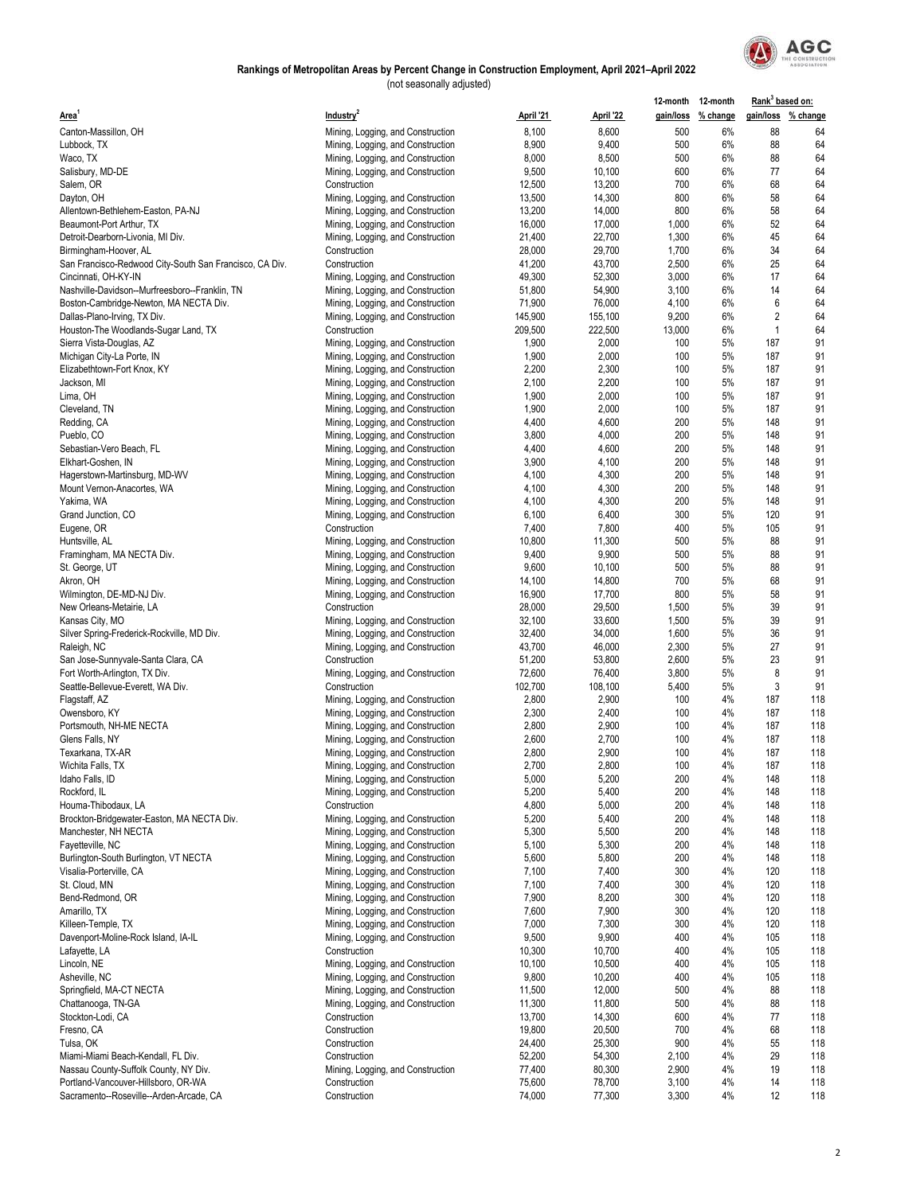

|                                                         |                                   |           |           |        | 12-month 12-month  | Rank <sup>3</sup> based on: |     |
|---------------------------------------------------------|-----------------------------------|-----------|-----------|--------|--------------------|-----------------------------|-----|
| Area <sup>1</sup>                                       | Industry <sup>2</sup>             | April '21 | April '22 |        | gain/loss % change | gain/loss % change          |     |
| Canton-Massillon, OH                                    | Mining, Logging, and Construction | 8,100     | 8,600     | 500    | 6%                 | 88                          | 64  |
| Lubbock, TX                                             | Mining, Logging, and Construction | 8,900     | 9,400     | 500    | 6%                 | 88                          | 64  |
| Waco, TX                                                | Mining, Logging, and Construction | 8,000     | 8,500     | 500    | 6%                 | 88                          | 64  |
| Salisbury, MD-DE                                        | Mining, Logging, and Construction | 9,500     | 10,100    | 600    | 6%                 | 77                          | 64  |
| Salem, OR                                               | Construction                      | 12,500    | 13,200    | 700    | 6%                 | 68                          | 64  |
| Dayton, OH                                              | Mining, Logging, and Construction | 13,500    | 14,300    | 800    | 6%                 | 58                          | 64  |
| Allentown-Bethlehem-Easton, PA-NJ                       | Mining, Logging, and Construction | 13,200    | 14,000    | 800    | 6%                 | 58                          | 64  |
| Beaumont-Port Arthur, TX                                | Mining, Logging, and Construction | 16,000    | 17,000    | 1,000  | 6%                 | 52                          | 64  |
| Detroit-Dearborn-Livonia, MI Div.                       | Mining, Logging, and Construction | 21,400    | 22,700    | 1,300  | 6%                 | 45                          | 64  |
| Birmingham-Hoover, AL                                   | Construction                      | 28,000    | 29,700    | 1,700  | 6%                 | 34                          | 64  |
| San Francisco-Redwood City-South San Francisco, CA Div. | Construction                      | 41,200    | 43,700    | 2,500  | 6%                 | 25                          | 64  |
| Cincinnati, OH-KY-IN                                    |                                   | 49,300    | 52,300    | 3,000  | 6%                 | 17                          | 64  |
|                                                         | Mining, Logging, and Construction |           |           |        |                    |                             |     |
| Nashville-Davidson--Murfreesboro--Franklin, TN          | Mining, Logging, and Construction | 51,800    | 54,900    | 3,100  | 6%                 | 14                          | 64  |
| Boston-Cambridge-Newton, MA NECTA Div.                  | Mining, Logging, and Construction | 71,900    | 76,000    | 4,100  | 6%                 | 6                           | 64  |
| Dallas-Plano-Irving, TX Div.                            | Mining, Logging, and Construction | 145,900   | 155,100   | 9,200  | 6%                 | $\overline{2}$              | 64  |
| Houston-The Woodlands-Sugar Land, TX                    | Construction                      | 209,500   | 222,500   | 13,000 | 6%                 | $\mathbf{1}$                | 64  |
| Sierra Vista-Douglas, AZ                                | Mining, Logging, and Construction | 1,900     | 2,000     | 100    | 5%                 | 187                         | 91  |
| Michigan City-La Porte, IN                              | Mining, Logging, and Construction | 1,900     | 2,000     | 100    | 5%                 | 187                         | 91  |
| Elizabethtown-Fort Knox, KY                             | Mining, Logging, and Construction | 2,200     | 2,300     | 100    | 5%                 | 187                         | 91  |
| Jackson, MI                                             | Mining, Logging, and Construction | 2,100     | 2,200     | 100    | 5%                 | 187                         | 91  |
| Lima, OH                                                | Mining, Logging, and Construction | 1,900     | 2,000     | 100    | 5%                 | 187                         | 91  |
| Cleveland, TN                                           | Mining, Logging, and Construction | 1,900     | 2,000     | 100    | 5%                 | 187                         | 91  |
| Redding, CA                                             | Mining, Logging, and Construction | 4,400     | 4,600     | 200    | 5%                 | 148                         | 91  |
| Pueblo, CO                                              | Mining, Logging, and Construction | 3,800     | 4,000     | 200    | 5%                 | 148                         | 91  |
| Sebastian-Vero Beach, FL                                | Mining, Logging, and Construction | 4,400     | 4,600     | 200    | 5%                 | 148                         | 91  |
| Elkhart-Goshen, IN                                      | Mining, Logging, and Construction | 3,900     | 4,100     | 200    | 5%                 | 148                         | 91  |
| Hagerstown-Martinsburg, MD-WV                           | Mining, Logging, and Construction | 4,100     | 4,300     | 200    | 5%                 | 148                         | 91  |
| Mount Vernon-Anacortes, WA                              | Mining, Logging, and Construction | 4,100     | 4,300     | 200    | 5%                 | 148                         | 91  |
| Yakima, WA                                              | Mining, Logging, and Construction | 4,100     | 4,300     | 200    | 5%                 | 148                         | 91  |
| Grand Junction, CO                                      | Mining, Logging, and Construction | 6,100     | 6,400     | 300    | 5%                 | 120                         | 91  |
|                                                         | Construction                      | 7,400     | 7,800     | 400    | 5%                 | 105                         | 91  |
| Eugene, OR                                              |                                   |           |           | 500    | 5%                 | 88                          |     |
| Huntsville, AL                                          | Mining, Logging, and Construction | 10,800    | 11,300    |        | 5%                 |                             | 91  |
| Framingham, MA NECTA Div.                               | Mining, Logging, and Construction | 9,400     | 9,900     | 500    |                    | 88                          | 91  |
| St. George, UT                                          | Mining, Logging, and Construction | 9,600     | 10,100    | 500    | 5%                 | 88                          | 91  |
| Akron, OH                                               | Mining, Logging, and Construction | 14,100    | 14,800    | 700    | 5%                 | 68                          | 91  |
| Wilmington, DE-MD-NJ Div.                               | Mining, Logging, and Construction | 16,900    | 17,700    | 800    | 5%                 | 58                          | 91  |
| New Orleans-Metairie, LA                                | Construction                      | 28,000    | 29,500    | 1,500  | 5%                 | 39                          | 91  |
| Kansas City, MO                                         | Mining, Logging, and Construction | 32,100    | 33,600    | 1,500  | 5%                 | 39                          | 91  |
| Silver Spring-Frederick-Rockville, MD Div.              | Mining, Logging, and Construction | 32,400    | 34,000    | 1,600  | 5%                 | 36                          | 91  |
| Raleigh, NC                                             | Mining, Logging, and Construction | 43,700    | 46,000    | 2,300  | 5%                 | 27                          | 91  |
| San Jose-Sunnyvale-Santa Clara, CA                      | Construction                      | 51,200    | 53,800    | 2,600  | 5%                 | 23                          | 91  |
| Fort Worth-Arlington, TX Div.                           | Mining, Logging, and Construction | 72,600    | 76,400    | 3,800  | 5%                 | 8                           | 91  |
| Seattle-Bellevue-Everett, WA Div.                       | Construction                      | 102,700   | 108,100   | 5,400  | 5%                 | 3                           | 91  |
| Flagstaff, AZ                                           | Mining, Logging, and Construction | 2,800     | 2,900     | 100    | 4%                 | 187                         | 118 |
| Owensboro, KY                                           | Mining, Logging, and Construction | 2,300     | 2,400     | 100    | 4%                 | 187                         | 118 |
| Portsmouth, NH-ME NECTA                                 | Mining, Logging, and Construction | 2,800     | 2,900     | 100    | 4%                 | 187                         | 118 |
| Glens Falls, NY                                         | Mining, Logging, and Construction | 2,600     | 2,700     | 100    | 4%                 | 187                         | 118 |
| Texarkana, TX-AR                                        | Mining, Logging, and Construction | 2,800     | 2,900     | 100    | 4%                 | 187                         | 118 |
| Wichita Falls, TX                                       | Mining, Logging, and Construction | 2,700     | 2,800     | 100    | 4%                 | 187                         | 118 |
| Idaho Falls, ID                                         | Mining, Logging, and Construction | 5,000     | 5,200     | 200    | 4%                 | 148                         | 118 |
| Rockford, IL                                            | Mining, Logging, and Construction | 5,200     | 5,400     | 200    | 4%                 | 148                         | 118 |
| Houma-Thibodaux, LA                                     | Construction                      | 4,800     | 5,000     | 200    | 4%                 | 148                         | 118 |
| Brockton-Bridgewater-Easton, MA NECTA Div.              | Mining, Logging, and Construction | 5,200     | 5,400     | 200    | 4%                 | 148                         | 118 |
| Manchester, NH NECTA                                    | Mining, Logging, and Construction | 5,300     | 5,500     | 200    | 4%                 | 148                         | 118 |
| Fayetteville, NC                                        | Mining, Logging, and Construction | 5,100     | 5,300     | 200    | 4%                 | 148                         | 118 |
| Burlington-South Burlington, VT NECTA                   | Mining, Logging, and Construction | 5,600     | 5,800     | 200    | 4%                 | 148                         | 118 |
| Visalia-Porterville, CA                                 |                                   | 7,100     | 7,400     | 300    | 4%                 | 120                         | 118 |
| St. Cloud, MN                                           | Mining, Logging, and Construction | 7,100     | 7,400     | 300    | 4%                 | 120                         |     |
|                                                         | Mining, Logging, and Construction |           |           |        |                    |                             | 118 |
| Bend-Redmond, OR                                        | Mining, Logging, and Construction | 7,900     | 8,200     | 300    | 4%                 | 120                         | 118 |
| Amarillo, TX                                            | Mining, Logging, and Construction | 7,600     | 7,900     | 300    | 4%                 | 120                         | 118 |
| Killeen-Temple, TX                                      | Mining, Logging, and Construction | 7,000     | 7,300     | 300    | 4%                 | 120                         | 118 |
| Davenport-Moline-Rock Island, IA-IL                     | Mining, Logging, and Construction | 9,500     | 9,900     | 400    | 4%                 | 105                         | 118 |
| Lafayette, LA                                           | Construction                      | 10,300    | 10,700    | 400    | 4%                 | 105                         | 118 |
| Lincoln, NE                                             | Mining, Logging, and Construction | 10,100    | 10,500    | 400    | 4%                 | 105                         | 118 |
| Asheville, NC                                           | Mining, Logging, and Construction | 9,800     | 10,200    | 400    | 4%                 | 105                         | 118 |
| Springfield, MA-CT NECTA                                | Mining, Logging, and Construction | 11,500    | 12,000    | 500    | 4%                 | 88                          | 118 |
| Chattanooga, TN-GA                                      | Mining, Logging, and Construction | 11,300    | 11,800    | 500    | 4%                 | 88                          | 118 |
| Stockton-Lodi, CA                                       | Construction                      | 13,700    | 14,300    | 600    | 4%                 | 77                          | 118 |
| Fresno, CA                                              | Construction                      | 19,800    | 20,500    | 700    | 4%                 | 68                          | 118 |
| Tulsa, OK                                               | Construction                      | 24,400    | 25,300    | 900    | 4%                 | 55                          | 118 |
| Miami-Miami Beach-Kendall, FL Div.                      | Construction                      | 52,200    | 54,300    | 2,100  | 4%                 | 29                          | 118 |
| Nassau County-Suffolk County, NY Div.                   | Mining, Logging, and Construction | 77,400    | 80,300    | 2,900  | 4%                 | 19                          | 118 |
| Portland-Vancouver-Hillsboro, OR-WA                     | Construction                      | 75,600    | 78,700    | 3,100  | 4%                 | 14                          | 118 |
| Sacramento--Roseville--Arden-Arcade, CA                 | Construction                      | 74,000    | 77,300    | 3,300  | 4%                 | 12                          | 118 |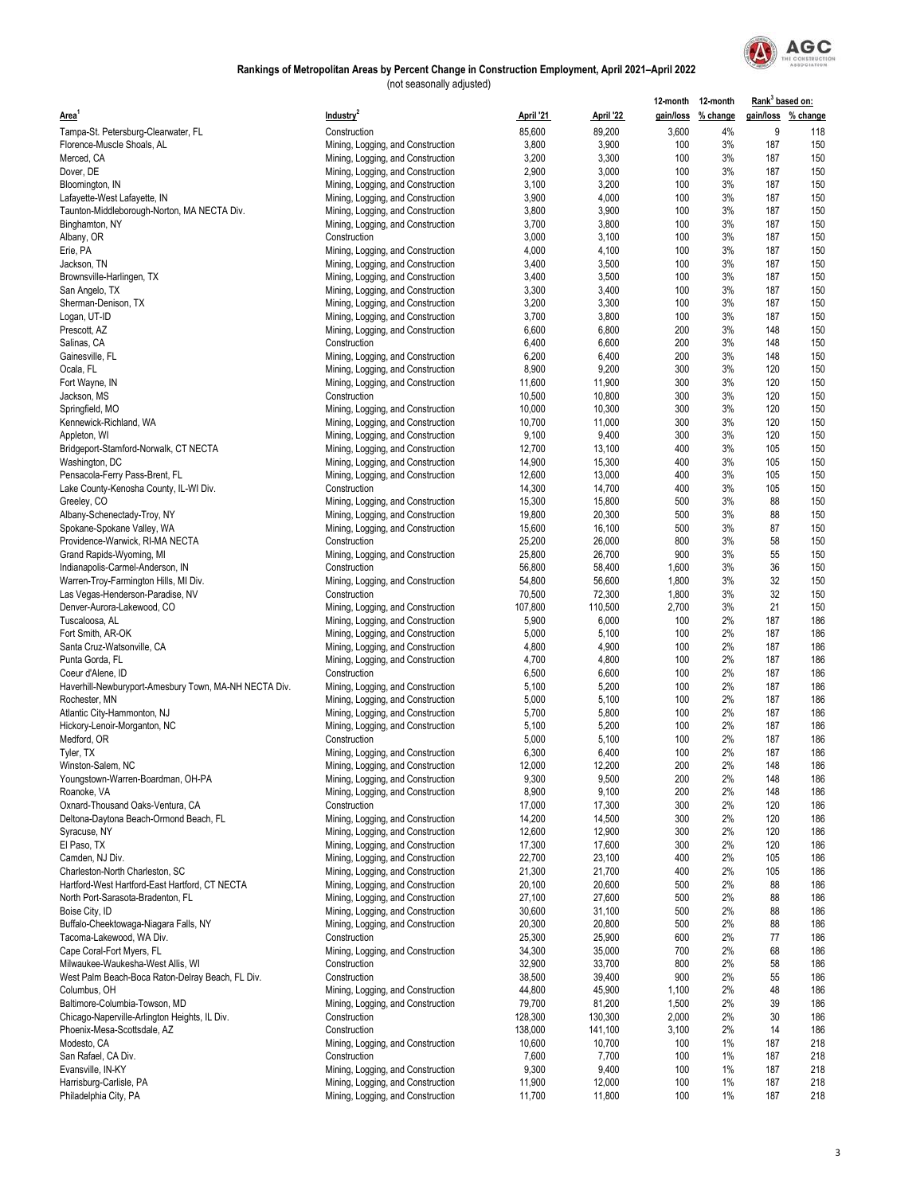

|                                                                        |                                                                        |                |                | 12-month 12-month |                    | Rank <sup>3</sup> based on: |                    |
|------------------------------------------------------------------------|------------------------------------------------------------------------|----------------|----------------|-------------------|--------------------|-----------------------------|--------------------|
| <b>Area</b>                                                            | Industry <sup>2</sup>                                                  | April '21      | April '22      |                   | gain/loss % change |                             | gain/loss % change |
| Tampa-St. Petersburg-Clearwater, FL                                    | Construction                                                           | 85,600         | 89,200         | 3,600             | 4%                 | 9                           | 118                |
| Florence-Muscle Shoals, AL                                             | Mining, Logging, and Construction                                      | 3,800          | 3,900          | 100               | 3%                 | 187                         | 150                |
| Merced, CA                                                             | Mining, Logging, and Construction                                      | 3,200          | 3,300          | 100               | 3%                 | 187                         | 150                |
| Dover, DE                                                              | Mining, Logging, and Construction                                      | 2,900          | 3,000          | 100               | 3%                 | 187                         | 150                |
| Bloomington, IN                                                        | Mining, Logging, and Construction                                      | 3,100          | 3,200          | 100               | 3%                 | 187                         | 150                |
| Lafayette-West Lafayette, IN                                           | Mining, Logging, and Construction                                      | 3,900          | 4,000          | 100               | 3%                 | 187                         | 150                |
| Taunton-Middleborough-Norton, MA NECTA Div.                            | Mining, Logging, and Construction                                      | 3,800          | 3,900          | 100               | 3%                 | 187                         | 150                |
| Binghamton, NY                                                         | Mining, Logging, and Construction                                      | 3,700          | 3,800          | 100               | 3%                 | 187                         | 150                |
| Albany, OR                                                             | Construction                                                           | 3,000          | 3,100          | 100               | 3%                 | 187                         | 150                |
| Erie, PA                                                               | Mining, Logging, and Construction                                      | 4,000          | 4,100          | 100               | 3%                 | 187                         | 150                |
| Jackson, TN                                                            | Mining, Logging, and Construction                                      | 3,400          | 3,500          | 100               | 3%                 | 187                         | 150                |
| Brownsville-Harlingen, TX                                              | Mining, Logging, and Construction                                      | 3,400          | 3,500          | 100               | 3%                 | 187                         | 150                |
| San Angelo, TX                                                         | Mining, Logging, and Construction                                      | 3,300          | 3,400          | 100               | 3%                 | 187                         | 150                |
| Sherman-Denison, TX                                                    | Mining, Logging, and Construction                                      | 3,200          | 3,300          | 100               | 3%                 | 187                         | 150                |
| Logan, UT-ID                                                           | Mining, Logging, and Construction                                      | 3,700          | 3,800          | 100               | 3%                 | 187                         | 150                |
| Prescott, AZ                                                           | Mining, Logging, and Construction                                      | 6,600          | 6,800          | 200               | 3%                 | 148                         | 150                |
| Salinas, CA                                                            | Construction                                                           | 6,400          | 6,600          | 200               | 3%                 | 148                         | 150                |
| Gainesville, FL                                                        | Mining, Logging, and Construction                                      | 6,200          | 6,400          | 200               | 3%                 | 148                         | 150                |
| Ocala, FL                                                              | Mining, Logging, and Construction                                      | 8,900          | 9,200          | 300               | 3%                 | 120                         | 150                |
| Fort Wayne, IN                                                         | Mining, Logging, and Construction                                      | 11,600         | 11,900         | 300               | 3%                 | 120                         | 150                |
| Jackson, MS                                                            | Construction                                                           | 10,500         | 10,800         | 300               | 3%                 | 120                         | 150                |
| Springfield, MO                                                        | Mining, Logging, and Construction                                      | 10,000         | 10,300         | 300               | 3%                 | 120                         | 150                |
| Kennewick-Richland, WA                                                 | Mining, Logging, and Construction                                      | 10,700         | 11,000         | 300               | 3%                 | 120                         | 150                |
| Appleton, WI                                                           | Mining, Logging, and Construction                                      | 9,100          | 9,400          | 300               | 3%                 | 120                         | 150                |
| Bridgeport-Stamford-Norwalk, CT NECTA                                  | Mining, Logging, and Construction                                      | 12,700         | 13,100         | 400               | 3%                 | 105                         | 150                |
| Washington, DC                                                         | Mining, Logging, and Construction                                      | 14,900         | 15,300         | 400               | 3%                 | 105                         | 150                |
| Pensacola-Ferry Pass-Brent, FL                                         | Mining, Logging, and Construction                                      | 12,600         | 13,000         | 400               | 3%                 | 105                         | 150                |
| Lake County-Kenosha County, IL-WI Div.                                 | Construction                                                           | 14,300         | 14,700         | 400               | 3%                 | 105                         | 150                |
| Greeley, CO                                                            | Mining, Logging, and Construction                                      | 15,300         | 15,800         | 500               | 3%                 | 88                          | 150                |
| Albany-Schenectady-Troy, NY                                            | Mining, Logging, and Construction                                      | 19,800         | 20,300         | 500               | 3%                 | 88                          | 150                |
| Spokane-Spokane Valley, WA                                             | Mining, Logging, and Construction                                      | 15,600         | 16,100         | 500               | 3%                 | 87                          | 150                |
| Providence-Warwick, RI-MA NECTA                                        | Construction                                                           | 25,200         | 26,000         | 800               | 3%                 | 58                          | 150                |
| Grand Rapids-Wyoming, MI                                               | Mining, Logging, and Construction                                      | 25,800         | 26,700         | 900               | 3%                 | 55                          | 150                |
| Indianapolis-Carmel-Anderson, IN                                       | Construction                                                           | 56,800         | 58,400         | 1,600             | 3%                 | 36                          | 150                |
| Warren-Troy-Farmington Hills, MI Div.                                  | Mining, Logging, and Construction                                      | 54,800         | 56,600         | 1,800             | 3%                 | 32                          | 150                |
| Las Vegas-Henderson-Paradise, NV                                       | Construction                                                           | 70,500         | 72,300         | 1,800             | 3%                 | 32                          | 150                |
| Denver-Aurora-Lakewood, CO                                             | Mining, Logging, and Construction                                      | 107,800        | 110,500        | 2,700             | 3%                 | 21                          | 150                |
| Tuscaloosa, AL                                                         | Mining, Logging, and Construction                                      | 5,900          | 6,000          | 100               | 2%                 | 187                         | 186                |
| Fort Smith, AR-OK                                                      | Mining, Logging, and Construction                                      | 5,000          | 5,100          | 100               | 2%                 | 187                         | 186                |
| Santa Cruz-Watsonville, CA                                             | Mining, Logging, and Construction                                      | 4,800          | 4,900          | 100               | 2%                 | 187                         | 186<br>186         |
| Punta Gorda, FL                                                        | Mining, Logging, and Construction                                      | 4,700          | 4,800          | 100               | 2%<br>2%           | 187                         | 186                |
| Coeur d'Alene, ID                                                      | Construction                                                           | 6,500          | 6,600<br>5,200 | 100<br>100        | 2%                 | 187<br>187                  | 186                |
| Haverhill-Newburyport-Amesbury Town, MA-NH NECTA Div.<br>Rochester, MN | Mining, Logging, and Construction<br>Mining, Logging, and Construction | 5,100<br>5,000 | 5,100          | 100               | 2%                 | 187                         | 186                |
| Atlantic City-Hammonton, NJ                                            | Mining, Logging, and Construction                                      | 5,700          | 5,800          | 100               | 2%                 | 187                         | 186                |
| Hickory-Lenoir-Morganton, NC                                           | Mining, Logging, and Construction                                      | 5,100          | 5,200          | 100               | 2%                 | 187                         | 186                |
| Medford, OR                                                            | Construction                                                           | 5,000          | 5,100          | 100               | 2%                 | 187                         | 186                |
| Tyler, TX                                                              | Mining, Logging, and Construction                                      | 6,300          | 6,400          | 100               | 2%                 | 187                         | 186                |
| Winston-Salem, NC                                                      | Mining, Logging, and Construction                                      | 12,000         | 12,200         | 200               | 2%                 | 148                         | 186                |
| Youngstown-Warren-Boardman, OH-PA                                      | Mining, Logging, and Construction                                      | 9,300          | 9,500          | 200               | 2%                 | 148                         | 186                |
| Roanoke, VA                                                            | Mining, Logging, and Construction                                      | 8,900          | 9,100          | 200               | 2%                 | 148                         | 186                |
| Oxnard-Thousand Oaks-Ventura, CA                                       | Construction                                                           | 17,000         | 17,300         | 300               | 2%                 | 120                         | 186                |
| Deltona-Daytona Beach-Ormond Beach, FL                                 | Mining, Logging, and Construction                                      | 14,200         | 14,500         | 300               | 2%                 | 120                         | 186                |
| Syracuse, NY                                                           | Mining, Logging, and Construction                                      | 12,600         | 12,900         | 300               | 2%                 | 120                         | 186                |
| El Paso, TX                                                            | Mining, Logging, and Construction                                      | 17,300         | 17,600         | 300               | 2%                 | 120                         | 186                |
| Camden, NJ Div.                                                        | Mining, Logging, and Construction                                      | 22,700         | 23,100         | 400               | 2%                 | 105                         | 186                |
| Charleston-North Charleston, SC                                        | Mining, Logging, and Construction                                      | 21,300         | 21,700         | 400               | 2%                 | 105                         | 186                |
| Hartford-West Hartford-East Hartford, CT NECTA                         | Mining, Logging, and Construction                                      | 20,100         | 20,600         | 500               | 2%                 | 88                          | 186                |
| North Port-Sarasota-Bradenton, FL                                      | Mining, Logging, and Construction                                      | 27,100         | 27,600         | 500               | 2%                 | 88                          | 186                |
| Boise City, ID                                                         | Mining, Logging, and Construction                                      | 30,600         | 31,100         | 500               | 2%                 | 88                          | 186                |
| Buffalo-Cheektowaga-Niagara Falls, NY                                  | Mining, Logging, and Construction                                      | 20,300         | 20,800         | 500               | 2%                 | 88                          | 186                |
| Tacoma-Lakewood, WA Div.                                               | Construction                                                           | 25,300         | 25,900         | 600               | 2%                 | 77                          | 186                |
| Cape Coral-Fort Myers, FL                                              | Mining, Logging, and Construction                                      | 34,300         | 35,000         | 700               | 2%                 | 68                          | 186                |
| Milwaukee-Waukesha-West Allis, WI                                      | Construction                                                           | 32,900         | 33,700         | 800               | 2%                 | 58                          | 186                |
| West Palm Beach-Boca Raton-Delray Beach, FL Div.                       | Construction                                                           | 38,500         | 39,400         | 900               | 2%                 | 55                          | 186                |
| Columbus, OH                                                           | Mining, Logging, and Construction                                      | 44,800         | 45,900         | 1,100             | 2%                 | 48                          | 186                |
| Baltimore-Columbia-Towson, MD                                          | Mining, Logging, and Construction                                      | 79,700         | 81,200         | 1,500             | 2%                 | 39                          | 186                |
| Chicago-Naperville-Arlington Heights, IL Div.                          | Construction                                                           | 128,300        | 130,300        | 2,000             | 2%                 | 30                          | 186                |
| Phoenix-Mesa-Scottsdale, AZ                                            | Construction                                                           | 138,000        | 141,100        | 3,100             | 2%                 | 14                          | 186                |
| Modesto, CA                                                            | Mining, Logging, and Construction                                      | 10,600         | 10,700         | 100               | 1%                 | 187                         | 218                |
| San Rafael, CA Div.                                                    | Construction                                                           | 7,600          | 7,700          | 100               | 1%                 | 187                         | 218                |
| Evansville, IN-KY                                                      | Mining, Logging, and Construction                                      | 9,300          | 9,400          | 100               | 1%                 | 187                         | 218                |
| Harrisburg-Carlisle, PA                                                | Mining, Logging, and Construction                                      | 11,900         | 12,000         | 100               | 1%                 | 187                         | 218                |
| Philadelphia City, PA                                                  | Mining, Logging, and Construction                                      | 11,700         | 11,800         | 100               | 1%                 | 187                         | 218                |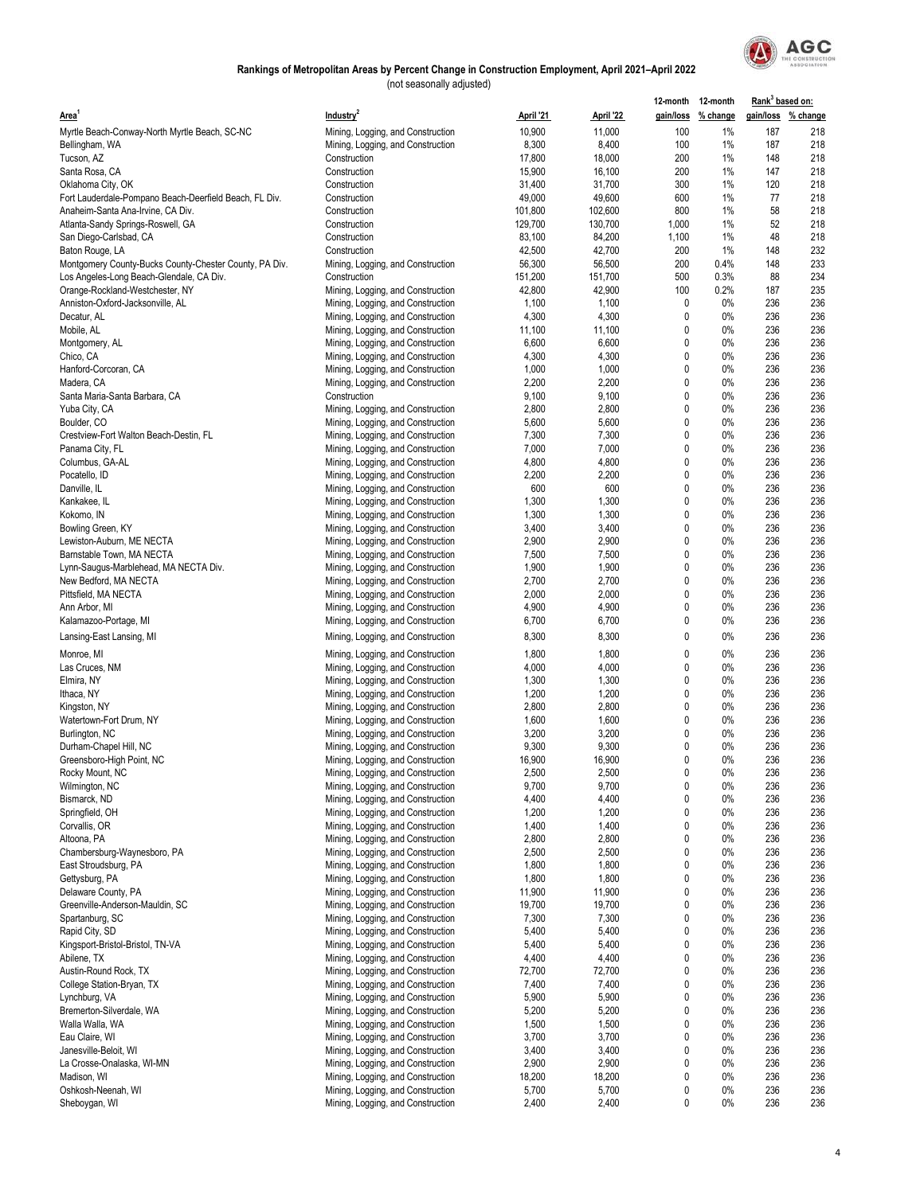

|                                                        |                                   |           |           |       | 12-month 12-month  | Rank <sup>3</sup> based on: |     |
|--------------------------------------------------------|-----------------------------------|-----------|-----------|-------|--------------------|-----------------------------|-----|
| Area <sup>1</sup>                                      | Industry <sup>2</sup>             | April '21 | April '22 |       | gain/loss % change | gain/loss % change          |     |
| Myrtle Beach-Conway-North Myrtle Beach, SC-NC          | Mining, Logging, and Construction | 10,900    | 11,000    | 100   | 1%                 | 187                         | 218 |
| Bellingham, WA                                         | Mining, Logging, and Construction | 8,300     | 8,400     | 100   | 1%                 | 187                         | 218 |
| Tucson, AZ                                             | Construction                      | 17,800    | 18,000    | 200   | 1%                 | 148                         | 218 |
| Santa Rosa, CA                                         | Construction                      | 15,900    | 16,100    | 200   | 1%                 | 147                         | 218 |
| Oklahoma City, OK                                      | Construction                      | 31,400    | 31,700    | 300   | 1%                 | 120                         | 218 |
| Fort Lauderdale-Pompano Beach-Deerfield Beach, FL Div. | Construction                      | 49,000    | 49,600    | 600   | 1%                 | 77                          | 218 |
| Anaheim-Santa Ana-Irvine, CA Div.                      | Construction                      | 101,800   | 102,600   | 800   | 1%                 | 58                          | 218 |
| Atlanta-Sandy Springs-Roswell, GA                      | Construction                      | 129,700   | 130,700   | 1,000 | 1%                 | 52                          | 218 |
| San Diego-Carlsbad, CA                                 | Construction                      | 83,100    | 84,200    | 1,100 | 1%                 | 48                          | 218 |
| Baton Rouge, LA                                        | Construction                      | 42,500    | 42,700    | 200   | 1%                 | 148                         | 232 |
| Montgomery County-Bucks County-Chester County, PA Div. | Mining, Logging, and Construction | 56,300    | 56,500    | 200   | 0.4%               | 148                         | 233 |
| Los Angeles-Long Beach-Glendale, CA Div.               | Construction                      | 151,200   | 151,700   | 500   | 0.3%               | 88                          | 234 |
| Orange-Rockland-Westchester, NY                        | Mining, Logging, and Construction | 42,800    | 42,900    | 100   | 0.2%               | 187                         | 235 |
| Anniston-Oxford-Jacksonville, AL                       | Mining, Logging, and Construction | 1,100     | 1,100     | 0     | 0%                 | 236                         | 236 |
| Decatur, AL                                            | Mining, Logging, and Construction | 4,300     | 4,300     | 0     | 0%                 | 236                         | 236 |
| Mobile, AL                                             | Mining, Logging, and Construction | 11,100    | 11,100    | 0     | 0%                 | 236                         | 236 |
| Montgomery, AL                                         | Mining, Logging, and Construction | 6,600     | 6,600     | 0     | 0%                 | 236                         | 236 |
| Chico, CA                                              | Mining, Logging, and Construction | 4,300     | 4,300     | 0     | 0%                 | 236                         | 236 |
| Hanford-Corcoran, CA                                   | Mining, Logging, and Construction | 1,000     | 1,000     | 0     | 0%                 | 236                         | 236 |
| Madera, CA                                             | Mining, Logging, and Construction | 2,200     | 2,200     | 0     | $0\%$              | 236                         | 236 |
| Santa Maria-Santa Barbara, CA                          | Construction                      | 9,100     | 9,100     | 0     | 0%                 | 236                         | 236 |
| Yuba City, CA                                          | Mining, Logging, and Construction | 2,800     | 2,800     | 0     | 0%                 | 236                         | 236 |
| Boulder, CO                                            | Mining, Logging, and Construction | 5,600     | 5,600     | 0     | 0%                 | 236                         | 236 |
| Crestview-Fort Walton Beach-Destin, FL                 | Mining, Logging, and Construction | 7,300     | 7,300     | 0     | 0%                 | 236                         | 236 |
| Panama City, FL                                        | Mining, Logging, and Construction | 7,000     | 7,000     | 0     | 0%                 | 236                         | 236 |
| Columbus, GA-AL                                        | Mining, Logging, and Construction | 4,800     | 4,800     | 0     | $0\%$              | 236                         | 236 |
| Pocatello, ID                                          | Mining, Logging, and Construction | 2,200     | 2,200     | 0     | $0\%$              | 236                         | 236 |
| Danville, IL                                           | Mining, Logging, and Construction | 600       | 600       | 0     | 0%                 | 236                         | 236 |
| Kankakee, IL                                           | Mining, Logging, and Construction | 1,300     | 1,300     | 0     | 0%                 | 236                         | 236 |
| Kokomo, IN                                             | Mining, Logging, and Construction | 1,300     | 1,300     | 0     | 0%                 | 236                         | 236 |
| Bowling Green, KY                                      | Mining, Logging, and Construction | 3,400     | 3,400     | 0     | 0%                 | 236                         | 236 |
| Lewiston-Auburn, ME NECTA                              | Mining, Logging, and Construction | 2,900     | 2,900     | 0     | 0%                 | 236                         | 236 |
| Barnstable Town, MA NECTA                              | Mining, Logging, and Construction | 7,500     | 7,500     | 0     | $0\%$              | 236                         | 236 |
| Lynn-Saugus-Marblehead, MA NECTA Div.                  | Mining, Logging, and Construction | 1,900     | 1,900     | 0     | 0%                 | 236                         | 236 |
| New Bedford, MA NECTA                                  | Mining, Logging, and Construction | 2,700     | 2,700     | 0     | 0%                 | 236                         | 236 |
| Pittsfield, MA NECTA                                   | Mining, Logging, and Construction | 2,000     | 2,000     | 0     | 0%                 | 236                         | 236 |
| Ann Arbor, MI                                          | Mining, Logging, and Construction | 4,900     | 4,900     | 0     | $0\%$              | 236                         | 236 |
| Kalamazoo-Portage, MI                                  | Mining, Logging, and Construction | 6,700     | 6,700     | 0     | 0%                 | 236                         | 236 |
|                                                        |                                   |           |           | 0     | 0%                 | 236                         | 236 |
| Lansing-East Lansing, MI                               | Mining, Logging, and Construction | 8,300     | 8,300     |       |                    |                             |     |
| Monroe, MI                                             | Mining, Logging, and Construction | 1,800     | 1,800     | 0     | 0%                 | 236                         | 236 |
| Las Cruces, NM                                         | Mining, Logging, and Construction | 4,000     | 4,000     | 0     | 0%                 | 236                         | 236 |
| Elmira, NY                                             | Mining, Logging, and Construction | 1,300     | 1,300     | 0     | 0%                 | 236                         | 236 |
| Ithaca, NY                                             | Mining, Logging, and Construction | 1,200     | 1,200     | 0     | 0%                 | 236                         | 236 |
| Kingston, NY                                           | Mining, Logging, and Construction | 2,800     | 2,800     | 0     | 0%                 | 236                         | 236 |
| Watertown-Fort Drum, NY                                | Mining, Logging, and Construction | 1,600     | 1,600     | 0     | 0%                 | 236                         | 236 |
| Burlington, NC                                         | Mining, Logging, and Construction | 3,200     | 3,200     | 0     | 0%                 | 236                         | 236 |
| Durham-Chapel Hill, NC                                 | Mining, Logging, and Construction | 9,300     | 9,300     | 0     | 0%                 | 236                         | 236 |
| Greensboro-High Point, NC                              | Mining, Logging, and Construction | 16,900    | 16,900    | 0     | 0%                 | 236                         | 236 |
| Rocky Mount, NC                                        | Mining, Logging, and Construction | 2,500     | 2,500     | 0     | $0\%$              | 236                         | 236 |
| Wilmington, NC                                         | Mining, Logging, and Construction | 9,700     | 9,700     | 0     | 0%                 | 236                         | 236 |
| Bismarck, ND                                           | Mining, Logging, and Construction | 4,400     | 4,400     | 0     | $0\%$              | 236                         | 236 |
| Springfield, OH                                        | Mining, Logging, and Construction | 1,200     | 1,200     | 0     | 0%                 | 236                         | 236 |
| Corvallis, OR                                          | Mining, Logging, and Construction | 1,400     | 1,400     | 0     | $0\%$              | 236                         | 236 |
| Altoona, PA                                            | Mining, Logging, and Construction | 2,800     | 2,800     | 0     | 0%                 | 236                         | 236 |
| Chambersburg-Waynesboro, PA                            | Mining, Logging, and Construction | 2,500     | 2,500     | 0     | 0%                 | 236                         | 236 |
| East Stroudsburg, PA                                   | Mining, Logging, and Construction | 1,800     | 1,800     | 0     | 0%                 | 236                         | 236 |
| Gettysburg, PA                                         | Mining, Logging, and Construction | 1,800     | 1,800     | 0     | 0%                 | 236                         | 236 |
| Delaware County, PA                                    | Mining, Logging, and Construction | 11,900    | 11,900    | 0     | 0%                 | 236                         | 236 |
| Greenville-Anderson-Mauldin, SC                        | Mining, Logging, and Construction | 19,700    | 19,700    | 0     | $0\%$              | 236                         | 236 |
| Spartanburg, SC                                        | Mining, Logging, and Construction | 7,300     | 7,300     | 0     | 0%                 | 236                         | 236 |
| Rapid City, SD                                         | Mining, Logging, and Construction | 5,400     | 5,400     | 0     | 0%                 | 236                         | 236 |
| Kingsport-Bristol-Bristol, TN-VA                       | Mining, Logging, and Construction | 5,400     | 5,400     | 0     | 0%                 | 236                         | 236 |
| Abilene, TX                                            | Mining, Logging, and Construction | 4,400     | 4,400     | 0     | $0\%$              | 236                         | 236 |
| Austin-Round Rock, TX                                  | Mining, Logging, and Construction | 72,700    | 72,700    | 0     | $0\%$              | 236                         | 236 |
| College Station-Bryan, TX                              | Mining, Logging, and Construction | 7,400     | 7,400     | 0     | 0%                 | 236                         | 236 |
| Lynchburg, VA                                          | Mining, Logging, and Construction | 5,900     | 5,900     | 0     | $0\%$              | 236                         | 236 |
| Bremerton-Silverdale, WA                               | Mining, Logging, and Construction | 5,200     | 5,200     | 0     | 0%                 | 236                         | 236 |
| Walla Walla, WA                                        | Mining, Logging, and Construction | 1,500     | 1,500     | 0     | 0%                 | 236                         | 236 |
| Eau Claire, WI                                         | Mining, Logging, and Construction | 3,700     | 3,700     | 0     | 0%                 | 236                         | 236 |
| Janesville-Beloit, WI                                  | Mining, Logging, and Construction | 3,400     | 3,400     | 0     | $0\%$              | 236                         | 236 |
| La Crosse-Onalaska, WI-MN                              | Mining, Logging, and Construction | 2,900     | 2,900     | 0     | 0%                 | 236                         | 236 |
| Madison, WI                                            | Mining, Logging, and Construction | 18,200    | 18,200    | 0     | 0%                 | 236                         | 236 |
| Oshkosh-Neenah, WI                                     | Mining, Logging, and Construction | 5,700     | 5,700     | 0     | $0\%$              | 236                         | 236 |
| Sheboygan, WI                                          | Mining, Logging, and Construction | 2,400     | 2,400     | 0     | 0%                 | 236                         | 236 |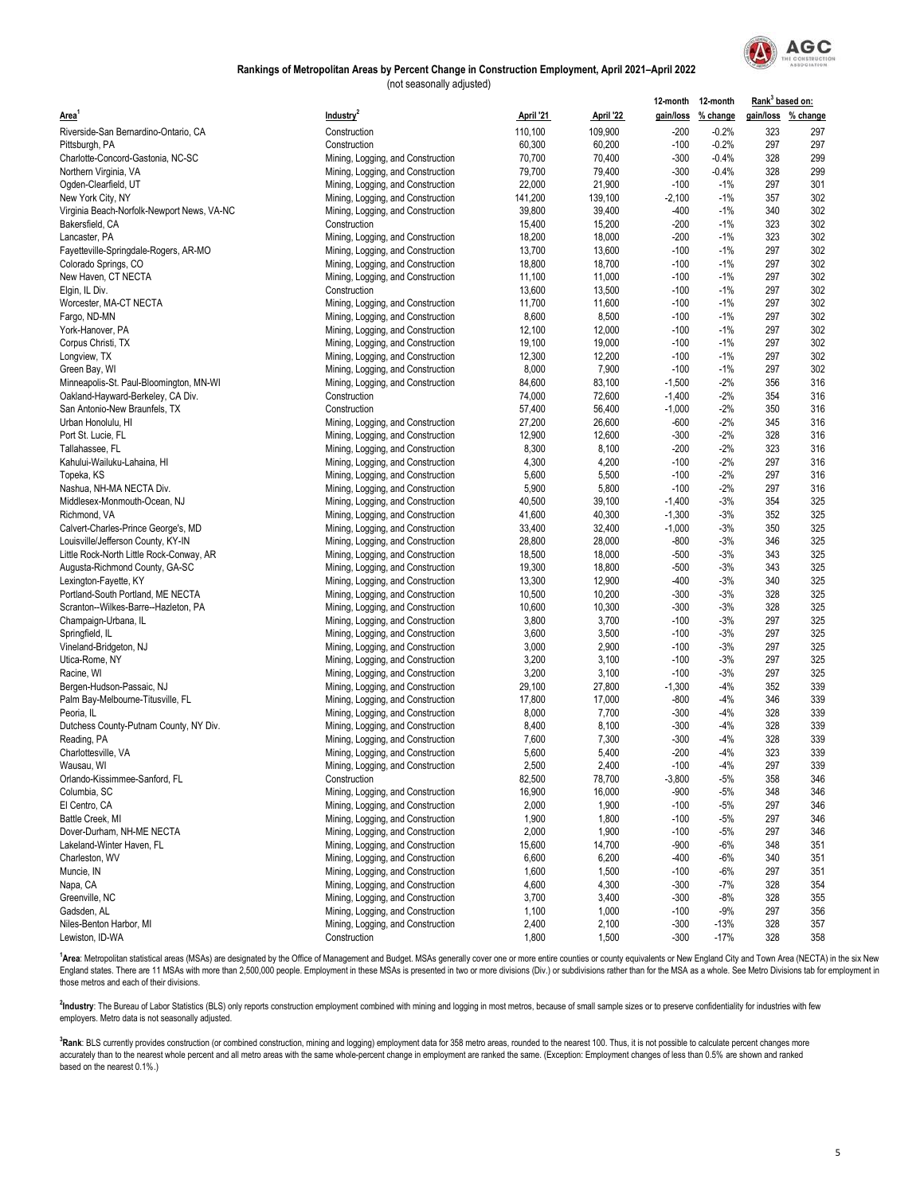

(not seasonally adjusted)

|                                            |                                   |           |           |          | 12-month 12-month  | Rank <sup>3</sup> based on: |                    |
|--------------------------------------------|-----------------------------------|-----------|-----------|----------|--------------------|-----------------------------|--------------------|
| Area <sup>'</sup>                          | Industry <sup>2</sup>             | April '21 | April '22 |          | gain/loss % change |                             | gain/loss % change |
| Riverside-San Bernardino-Ontario, CA       | Construction                      | 110,100   | 109,900   | $-200$   | $-0.2%$            | 323                         | 297                |
| Pittsburgh, PA                             | Construction                      | 60,300    | 60,200    | $-100$   | $-0.2%$            | 297                         | 297                |
| Charlotte-Concord-Gastonia, NC-SC          | Mining, Logging, and Construction | 70,700    | 70,400    | $-300$   | $-0.4%$            | 328                         | 299                |
| Northern Virginia, VA                      | Mining, Logging, and Construction | 79,700    | 79,400    | $-300$   | $-0.4%$            | 328                         | 299                |
| Ogden-Clearfield, UT                       | Mining, Logging, and Construction | 22,000    | 21,900    | $-100$   | $-1%$              | 297                         | 301                |
| New York City, NY                          | Mining, Logging, and Construction | 141,200   | 139,100   | $-2,100$ | $-1%$              | 357                         | 302                |
| Virginia Beach-Norfolk-Newport News, VA-NC | Mining, Logging, and Construction | 39,800    | 39,400    | -400     | $-1%$              | 340                         | 302                |
| Bakersfield, CA                            | Construction                      | 15,400    | 15,200    | $-200$   | $-1%$              | 323                         | 302                |
| Lancaster, PA                              | Mining, Logging, and Construction | 18,200    | 18,000    | $-200$   | $-1%$              | 323                         | 302                |
| Fayetteville-Springdale-Rogers, AR-MO      | Mining, Logging, and Construction | 13,700    | 13,600    | $-100$   | $-1%$              | 297                         | 302                |
| Colorado Springs, CO                       | Mining, Logging, and Construction | 18,800    | 18,700    | $-100$   | $-1%$              | 297                         | 302                |
| New Haven, CT NECTA                        | Mining, Logging, and Construction | 11,100    | 11,000    | $-100$   | $-1%$              | 297                         | 302                |
| Elgin, IL Div.                             | Construction                      | 13,600    | 13,500    | $-100$   | $-1%$              | 297                         | 302                |
| Worcester, MA-CT NECTA                     | Mining, Logging, and Construction | 11,700    | 11,600    | $-100$   | $-1%$              | 297                         | 302                |
| Fargo, ND-MN                               | Mining, Logging, and Construction | 8,600     | 8,500     | $-100$   | $-1%$              | 297                         | 302                |
| York-Hanover, PA                           | Mining, Logging, and Construction | 12,100    | 12,000    | $-100$   | $-1%$              | 297                         | 302                |
| Corpus Christi, TX                         | Mining, Logging, and Construction | 19,100    | 19,000    | $-100$   | $-1%$              | 297                         | 302                |
| Longview, TX                               | Mining, Logging, and Construction | 12,300    | 12,200    | $-100$   | $-1%$              | 297                         | 302                |
| Green Bay, WI                              | Mining, Logging, and Construction | 8,000     | 7,900     | $-100$   | $-1%$              | 297                         | 302                |
| Minneapolis-St. Paul-Bloomington, MN-WI    | Mining, Logging, and Construction | 84,600    | 83,100    | $-1,500$ | $-2%$              | 356                         | 316                |
| Oakland-Hayward-Berkeley, CA Div.          | Construction                      | 74,000    | 72,600    | $-1,400$ | $-2%$              | 354                         | 316                |
| San Antonio-New Braunfels, TX              | Construction                      | 57,400    | 56,400    | $-1,000$ | $-2%$              | 350                         | 316                |
| Urban Honolulu, HI                         | Mining, Logging, and Construction | 27,200    | 26,600    | $-600$   | $-2%$              | 345                         | 316                |
| Port St. Lucie, FL                         | Mining, Logging, and Construction | 12,900    | 12,600    | $-300$   | $-2%$              | 328                         | 316                |
| Tallahassee, FL                            | Mining, Logging, and Construction | 8,300     | 8,100     | $-200$   | $-2%$              | 323                         | 316                |
| Kahului-Wailuku-Lahaina, HI                | Mining, Logging, and Construction | 4,300     | 4,200     | $-100$   | $-2%$              | 297                         | 316                |
| Topeka, KS                                 | Mining, Logging, and Construction | 5,600     | 5,500     | $-100$   | $-2%$              | 297                         | 316                |
| Nashua, NH-MA NECTA Div.                   | Mining, Logging, and Construction | 5,900     | 5,800     | $-100$   | $-2%$              | 297                         | 316                |
| Middlesex-Monmouth-Ocean, NJ               | Mining, Logging, and Construction | 40,500    | 39,100    | $-1,400$ | $-3%$              | 354                         | 325                |
| Richmond, VA                               | Mining, Logging, and Construction | 41,600    | 40,300    | $-1,300$ | $-3%$              | 352                         | 325                |
| Calvert-Charles-Prince George's, MD        | Mining, Logging, and Construction | 33,400    | 32,400    | $-1,000$ | $-3%$              | 350                         | 325                |
| Louisville/Jefferson County, KY-IN         | Mining, Logging, and Construction | 28,800    | 28,000    | $-800$   | $-3%$              | 346                         | 325                |
| Little Rock-North Little Rock-Conway, AR   | Mining, Logging, and Construction | 18,500    | 18,000    | $-500$   | $-3%$              | 343                         | 325                |
| Augusta-Richmond County, GA-SC             | Mining, Logging, and Construction | 19,300    | 18,800    | $-500$   | $-3%$              | 343                         | 325                |
| Lexington-Fayette, KY                      | Mining, Logging, and Construction | 13,300    | 12,900    | $-400$   | $-3%$              | 340                         | 325                |
| Portland-South Portland, ME NECTA          | Mining, Logging, and Construction | 10,500    | 10,200    | -300     | $-3%$              | 328                         | 325                |
| Scranton--Wilkes-Barre--Hazleton, PA       | Mining, Logging, and Construction | 10,600    | 10,300    | $-300$   | $-3%$              | 328                         | 325                |
| Champaign-Urbana, IL                       | Mining, Logging, and Construction | 3,800     | 3,700     | $-100$   | $-3%$              | 297                         | 325                |
| Springfield, IL                            | Mining, Logging, and Construction | 3,600     | 3,500     | $-100$   | $-3%$              | 297                         | 325                |
| Vineland-Bridgeton, NJ                     | Mining, Logging, and Construction | 3,000     | 2,900     | $-100$   | $-3%$              | 297                         | 325                |
| Utica-Rome, NY                             | Mining, Logging, and Construction | 3,200     | 3,100     | $-100$   | $-3%$              | 297                         | 325                |
| Racine, WI                                 | Mining, Logging, and Construction | 3,200     | 3,100     | $-100$   | $-3%$              | 297                         | 325                |
| Bergen-Hudson-Passaic, NJ                  | Mining, Logging, and Construction | 29,100    | 27,800    | $-1,300$ | -4%                | 352                         | 339                |
| Palm Bay-Melbourne-Titusville, FL          | Mining, Logging, and Construction | 17,800    | 17,000    | -800     | $-4%$              | 346                         | 339                |
| Peoria, IL                                 | Mining, Logging, and Construction | 8,000     | 7,700     | $-300$   | $-4%$              | 328                         | 339                |
| Dutchess County-Putnam County, NY Div.     | Mining, Logging, and Construction | 8,400     | 8,100     | $-300$   | -4%                | 328                         | 339                |
| Reading, PA                                | Mining, Logging, and Construction | 7,600     | 7,300     | $-300$   | -4%                | 328                         | 339                |
| Charlottesville, VA                        | Mining, Logging, and Construction | 5,600     | 5,400     | $-200$   | -4%                | 323                         | 339                |
| Wausau, WI                                 | Mining, Logging, and Construction | 2,500     | 2,400     | $-100$   | -4%                | 297                         | 339                |
| Orlando-Kissimmee-Sanford, FL              | Construction                      | 82,500    | 78,700    | $-3,800$ | $-5%$              | 358                         | 346                |
| Columbia, SC                               | Mining, Logging, and Construction | 16,900    | 16,000    | -900     | $-5%$              | 348                         | 346                |
| El Centro, CA                              | Mining, Logging, and Construction | 2,000     | 1,900     | $-100$   | $-5%$              | 297                         | 346                |
| Battle Creek, MI                           | Mining, Logging, and Construction | 1,900     | 1,800     | $-100$   | $-5%$              | 297                         | 346                |
| Dover-Durham, NH-ME NECTA                  | Mining, Logging, and Construction | 2,000     | 1,900     | $-100$   | $-5%$              | 297                         | 346                |
| Lakeland-Winter Haven, FL                  | Mining, Logging, and Construction | 15,600    | 14,700    | -900     | -6%                | 348                         | 351                |
| Charleston, WV                             | Mining, Logging, and Construction | 6,600     | 6,200     | -400     | $-6%$              | 340                         | 351                |
| Muncie, IN                                 | Mining, Logging, and Construction | 1,600     | 1,500     | $-100$   | $-6%$              | 297                         | 351                |
| Napa, CA                                   | Mining, Logging, and Construction | 4,600     | 4,300     | $-300$   | $-7%$              | 328                         | 354                |
| Greenville, NC                             | Mining, Logging, and Construction | 3,700     | 3,400     | $-300$   | $-8%$              | 328                         | 355                |
| Gadsden, AL                                | Mining, Logging, and Construction | 1,100     | 1,000     | $-100$   | -9%                | 297                         | 356                |
| Niles-Benton Harbor, MI                    | Mining, Logging, and Construction | 2,400     | 2,100     | $-300$   | $-13%$             | 328                         | 357                |
| Lewiston, ID-WA                            | Construction                      | 1,800     | 1,500     | $-300$   | $-17%$             | 328                         | 358                |

<sup>[1](https://www.bea.gov/regional/docs/msalist.cfm)</sup>[Area](https://www.bea.gov/regional/docs/msalist.cfm)[: Metropolitan statistical areas \(MSAs\) are designated by the Office of](https://www.bea.gov/regional/docs/msalist.cfm) Management and Budget. MSAs generally cover one or more entire counties or county equivalents or New England City and Town Area (NECTA) in the [England states. There are 11 MSAs with more than 2,500,000 people. Emplo](https://www.bea.gov/regional/docs/msalist.cfm)yment in these MSAs is presented in two or more divisions (Div.) or subdivisions rather than for the MSA as a whole. See Metro Divisions tab for emplo [those metros and each of their divisions.](https://www.bea.gov/regional/docs/msalist.cfm) 

<sup>2</sup>Industry: The Bureau of Labor Statistics (BLS) only reports construction employment combined with mining and logging in most metros, because of small sample sizes or to preserve confidentiality for industries with few employers. Metro data is not seasonally adjusted.

<sup>3</sup>Rank: BLS currently provides construction (or combined construction, mining and logging) employment data for 358 metro areas, rounded to the nearest 100. Thus, it is not possible to calculate percent changes more accurately than to the nearest whole percent and all metro areas with the same whole-percent change in employment are ranked the same. (Exception: Employment changes of less than 0.5% are shown and ranked based on the nearest 0.1%.)